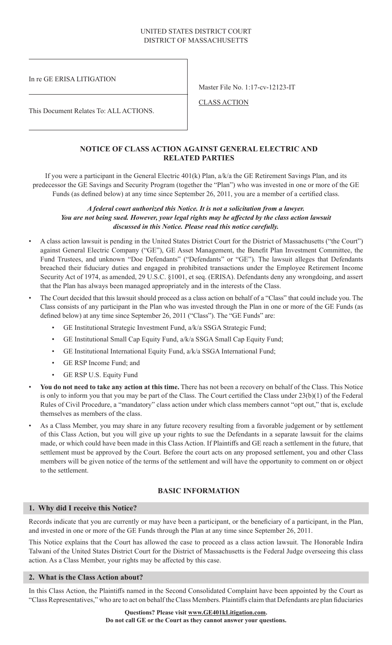## UNITED STATES DISTRICT COURT DISTRICT OF MASSACHUSETTS

In re GE ERISA LITIGATION

Master File No. 1:17-cv-12123-IT

CLASS ACTION

This Document Relates To: ALL ACTIONS.

## **NOTICE OF CLASS ACTION AGAINST GENERAL ELECTRIC AND RELATED PARTIES**

If you were a participant in the General Electric 401(k) Plan, a/k/a the GE Retirement Savings Plan, and its predecessor the GE Savings and Security Program (together the "Plan") who was invested in one or more of the GE Funds (as defined below) at any time since September 26, 2011, you are a member of a certified class.

### *A federal court authorized this Notice. It is not a solicitation from a lawyer. You are not being sued. However, your legal rights may be affected by the class action lawsuit discussed in this Notice. Please read this notice carefully.*

- A class action lawsuit is pending in the United States District Court for the District of Massachusetts ("the Court") against General Electric Company ("GE"), GE Asset Management, the Benefit Plan Investment Committee, the Fund Trustees, and unknown "Doe Defendants" ("Defendants" or "GE"). The lawsuit alleges that Defendants breached their fiduciary duties and engaged in prohibited transactions under the Employee Retirement Income Security Act of 1974, as amended, 29 U.S.C. §1001, et seq. (ERISA). Defendants deny any wrongdoing, and assert that the Plan has always been managed appropriately and in the interests of the Class.
- The Court decided that this lawsuit should proceed as a class action on behalf of a "Class" that could include you. The Class consists of any participant in the Plan who was invested through the Plan in one or more of the GE Funds (as defined below) at any time since September 26, 2011 ("Class"). The "GE Funds" are:
	- GE Institutional Strategic Investment Fund, a/k/a SSGA Strategic Fund;
	- GE Institutional Small Cap Equity Fund, a/k/a SSGA Small Cap Equity Fund;
	- GE Institutional International Equity Fund, a/k/a SSGA International Fund;
	- GE RSP Income Fund; and
	- GE RSP U.S. Equity Fund
- **You do not need to take any action at this time.** There has not been a recovery on behalf of the Class. This Notice is only to inform you that you may be part of the Class. The Court certified the Class under 23(b)(1) of the Federal Rules of Civil Procedure, a "mandatory" class action under which class members cannot "opt out," that is, exclude themselves as members of the class.
- As a Class Member, you may share in any future recovery resulting from a favorable judgement or by settlement of this Class Action, but you will give up your rights to sue the Defendants in a separate lawsuit for the claims made, or which could have been made in this Class Action. If Plaintiffs and GE reach a settlement in the future, that settlement must be approved by the Court. Before the court acts on any proposed settlement, you and other Class members will be given notice of the terms of the settlement and will have the opportunity to comment on or object to the settlement.

# **BASIC INFORMATION**

## **1. Why did I receive this Notice?**

Records indicate that you are currently or may have been a participant, or the beneficiary of a participant, in the Plan, and invested in one or more of the GE Funds through the Plan at any time since September 26, 2011.

This Notice explains that the Court has allowed the case to proceed as a class action lawsuit. The Honorable Indira Talwani of the United States District Court for the District of Massachusetts is the Federal Judge overseeing this class action. As a Class Member, your rights may be affected by this case.

## **2. What is the Class Action about?**

In this Class Action, the Plaintiffs named in the Second Consolidated Complaint have been appointed by the Court as "Class Representatives," who are to act on behalf the Class Members. Plaintiffs claim that Defendants are plan fiduciaries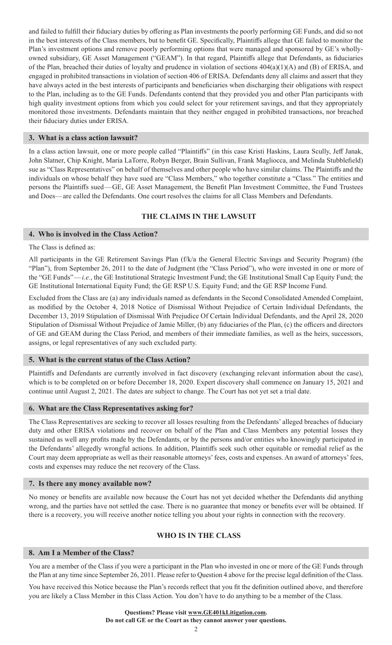and failed to fulfill their fiduciary duties by offering as Plan investments the poorly performing GE Funds, and did so not in the best interests of the Class members, but to benefit GE. Specifically, Plaintiffs allege that GE failed to monitor the Plan's investment options and remove poorly performing options that were managed and sponsored by GE's whollyowned subsidiary, GE Asset Management ("GEAM"). In that regard, Plaintiffs allege that Defendants, as fiduciaries of the Plan, breached their duties of loyalty and prudence in violation of sections 404(a)(1)(A) and (B) of ERISA, and engaged in prohibited transactions in violation of section 406 of ERISA. Defendants deny all claims and assert that they have always acted in the best interests of participants and beneficiaries when discharging their obligations with respect to the Plan, including as to the GE Funds. Defendants contend that they provided you and other Plan participants with high quality investment options from which you could select for your retirement savings, and that they appropriately monitored those investments. Defendants maintain that they neither engaged in prohibited transactions, nor breached their fiduciary duties under ERISA.

### **3. What is a class action lawsuit?**

In a class action lawsuit, one or more people called "Plaintiffs" (in this case Kristi Haskins, Laura Scully, Jeff Janak, John Slatner, Chip Knight, Maria LaTorre, Robyn Berger, Brain Sullivan, Frank Magliocca, and Melinda Stubblefield) sue as "Class Representatives" on behalf of themselves and other people who have similar claims. The Plaintiffs and the individuals on whose behalf they have sued are "Class Members," who together constitute a "Class." The entities and persons the Plaintiffs sued—GE, GE Asset Management, the Benefit Plan Investment Committee, the Fund Trustees and Does—are called the Defendants. One court resolves the claims for all Class Members and Defendants.

## **THE CLAIMS IN THE LAWSUIT**

## **4. Who is involved in the Class Action?**

#### The Class is defined as:

All participants in the GE Retirement Savings Plan (f/k/a the General Electric Savings and Security Program) (the "Plan"), from September 26, 2011 to the date of Judgment (the "Class Period"), who were invested in one or more of the "GE Funds"—*i.e.*, the GE Institutional Strategic Investment Fund; the GE Institutional Small Cap Equity Fund; the GE Institutional International Equity Fund; the GE RSP U.S. Equity Fund; and the GE RSP Income Fund.

Excluded from the Class are (a) any individuals named as defendants in the Second Consolidated Amended Complaint, as modified by the October 4, 2018 Notice of Dismissal Without Prejudice of Certain Individual Defendants, the December 13, 2019 Stipulation of Dismissal With Prejudice Of Certain Individual Defendants, and the April 28, 2020 Stipulation of Dismissal Without Prejudice of Jamie Miller, (b) any fiduciaries of the Plan, (c) the officers and directors of GE and GEAM during the Class Period, and members of their immediate families, as well as the heirs, successors, assigns, or legal representatives of any such excluded party.

## **5. What is the current status of the Class Action?**

Plaintiffs and Defendants are currently involved in fact discovery (exchanging relevant information about the case), which is to be completed on or before December 18, 2020. Expert discovery shall commence on January 15, 2021 and continue until August 2, 2021. The dates are subject to change. The Court has not yet set a trial date.

#### **6. What are the Class Representatives asking for?**

The Class Representatives are seeking to recover all losses resulting from the Defendants' alleged breaches of fiduciary duty and other ERISA violations and recover on behalf of the Plan and Class Members any potential losses they sustained as well any profits made by the Defendants, or by the persons and/or entities who knowingly participated in the Defendants' allegedly wrongful actions. In addition, Plaintiffs seek such other equitable or remedial relief as the Court may deem appropriate as well as their reasonable attorneys' fees, costs and expenses. An award of attorneys' fees, costs and expenses may reduce the net recovery of the Class.

#### **7. Is there any money available now?**

No money or benefits are available now because the Court has not yet decided whether the Defendants did anything wrong, and the parties have not settled the case. There is no guarantee that money or benefits ever will be obtained. If there is a recovery, you will receive another notice telling you about your rights in connection with the recovery.

# **WHO IS IN THE CLASS**

#### **8. Am I a Member of the Class?**

You are a member of the Class if you were a participant in the Plan who invested in one or more of the GE Funds through the Plan at any time since September 26, 2011. Please refer to Question 4 above for the precise legal definition of the Class.

You have received this Notice because the Plan's records reflect that you fit the definition outlined above, and therefore you are likely a Class Member in this Class Action. You don't have to do anything to be a member of the Class.